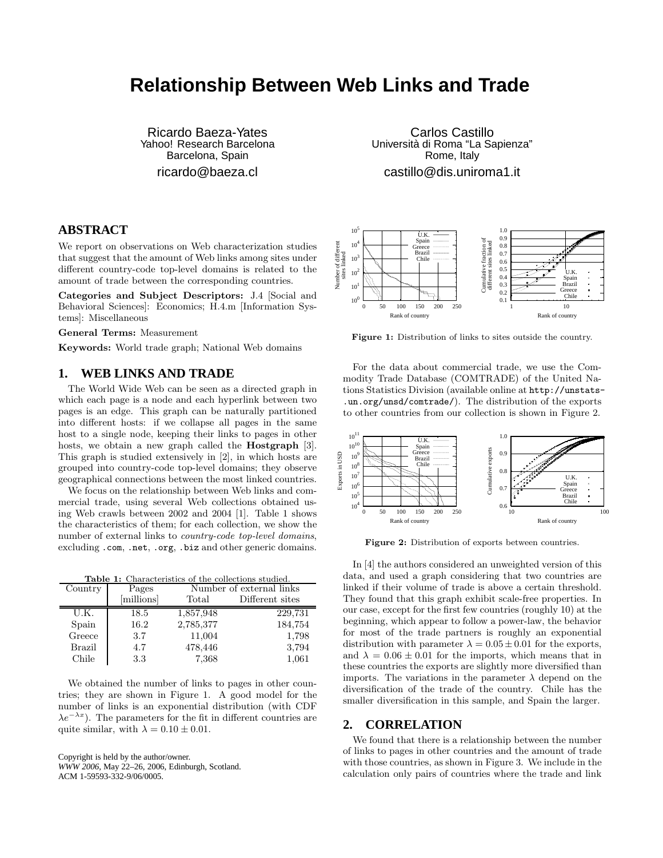## **Relationship Between Web Links and Trade**

Ricardo Baeza-Yates Yahoo! Research Barcelona Barcelona, Spain

ricardo@baeza.cl

### **ABSTRACT**

We report on observations on Web characterization studies that suggest that the amount of Web links among sites under different country-code top-level domains is related to the amount of trade between the corresponding countries.

Categories and Subject Descriptors: J.4 [Social and Behavioral Sciences]: Economics; H.4.m [Information Systems]: Miscellaneous

General Terms: Measurement

Keywords: World trade graph; National Web domains

#### **1. WEB LINKS AND TRADE**

The World Wide Web can be seen as a directed graph in which each page is a node and each hyperlink between two pages is an edge. This graph can be naturally partitioned into different hosts: if we collapse all pages in the same host to a single node, keeping their links to pages in other hosts, we obtain a new graph called the **Hostgraph** [\[3\]](#page-1-0). This graph is studied extensively in [\[2\]](#page-1-1), in which hosts are grouped into country-code top-level domains; they observe geographical connections between the most linked countries.

We focus on the relationship between Web links and commercial trade, using several Web collections obtained using Web crawls between 2002 and 2004 [\[1\]](#page-1-2). Table [1](#page-0-0) shows the characteristics of them; for each collection, we show the number of external links to country-code top-level domains, excluding .com, .net, .org, .biz and other generic domains.

|  | <b>Table 1:</b> Characteristics of the collections studied. |  |  |  |
|--|-------------------------------------------------------------|--|--|--|
|  |                                                             |  |  |  |

<span id="page-0-0"></span>

| Country       | Pages      |           | Number of external links |  |  |  |
|---------------|------------|-----------|--------------------------|--|--|--|
|               | [millions] | Total     | Different sites          |  |  |  |
| U.K.          | 18.5       | 1,857,948 | 229,731                  |  |  |  |
| Spain         | 16.2       | 2,785,377 | 184,754                  |  |  |  |
| Greece        | 3.7        | 11,004    | 1,798                    |  |  |  |
| <b>Brazil</b> | 4.7        | 478,446   | 3,794                    |  |  |  |
| Chile         | 3.3        | 7,368     | 1,061                    |  |  |  |

We obtained the number of links to pages in other countries; they are shown in Figure [1.](#page-0-1) A good model for the number of links is an exponential distribution (with CDF  $\lambda e^{-\lambda x}$ ). The parameters for the fit in different countries are quite similar, with  $\lambda = 0.10 \pm 0.01$ .

Copyright is held by the author/owner. *WWW 2006,* May 22–26, 2006, Edinburgh, Scotland. ACM 1-59593-332-9/06/0005.

Carlos Castillo Universita` di Roma "La Sapienza" Rome, Italy castillo@dis.uniroma1.it



Figure 1: Distribution of links to sites outside the country.

<span id="page-0-1"></span>For the data about commercial trade, we use the Commodity Trade Database (COMTRADE) of the United Nations Statistics Division (available online at http://unstats- .un.org/unsd/comtrade/). The distribution of the exports to other countries from our collection is shown in Figure [2.](#page-0-2)



Figure 2: Distribution of exports between countries.

<span id="page-0-2"></span>In [\[4\]](#page-1-3) the authors considered an unweighted version of this data, and used a graph considering that two countries are linked if their volume of trade is above a certain threshold. They found that this graph exhibit scale-free properties. In our case, except for the first few countries (roughly 10) at the beginning, which appear to follow a power-law, the behavior for most of the trade partners is roughly an exponential distribution with parameter  $\lambda = 0.05 \pm 0.01$  for the exports, and  $\lambda = 0.06 \pm 0.01$  for the imports, which means that in these countries the exports are slightly more diversified than imports. The variations in the parameter  $\lambda$  depend on the diversification of the trade of the country. Chile has the smaller diversification in this sample, and Spain the larger.

#### **2. CORRELATION**

We found that there is a relationship between the number of links to pages in other countries and the amount of trade with those countries, as shown in Figure [3.](#page-1-4) We include in the calculation only pairs of countries where the trade and link